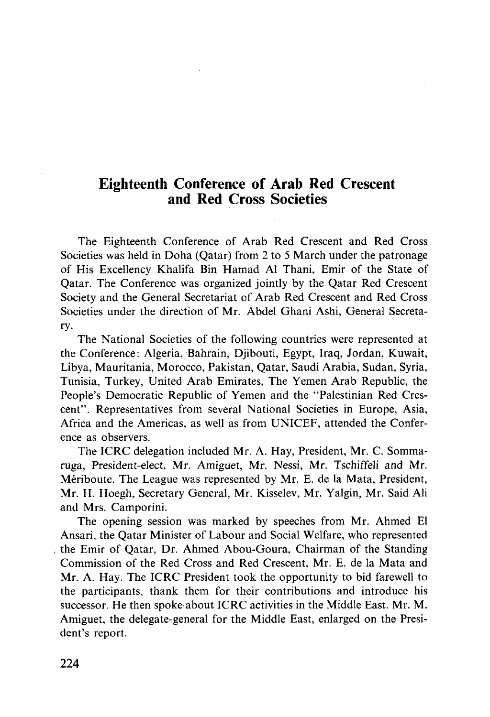## Eighteenth Conference of Arab Red Crescent and Red Cross Societies

The Eighteenth Conference of Arab Red Crescent and Red Cross Societies was held in Doha (Qatar) from 2 to 5 March under the patronage of His Excellency Khalifa Bin Hamad Al Thani, Emir of the State of Qatar. The Conference was organized jointly by the Qatar Red Crescent Society and the General Secretariat of Arab Red Crescent and Red Cross Societies under the direction of Mr. Abdel Ghani Ashi, General Secretary.

The National Societies of the following countries were represented at the Conference: Algeria, Bahrain, Djibouti, Egypt, Iraq, Jordan, Kuwait, Libya, Mauritania, Morocco, Pakistan, Qatar, Saudi Arabia, Sudan, Syria, Tunisia, Turkey, United Arab Emirates, The Yemen Arab Republic, the People's Democratic Republic of Yemen and the "Palestinian Red Crescent". Representatives from several National Societies in Europe, Asia, Africa and the Americas, as well as from UNICEF, attended the Conference as observers.

The ICRC delegation included Mr. A. Hay, President, Mr. C. Sommaruga, President-elect, Mr. Amiguet, Mr. Nessi, Mr. Tschiffeli and Mr. Meriboute. The League was represented by Mr. E. de la Mata, President, Mr. H. Hoegh, Secretary General, Mr. Kisselev, Mr. Yalgin, Mr. Said Ali and Mrs. Camporini.

The opening session was marked by speeches from Mr. Ahmed El Ansari, the Qatar Minister of Labour and Social Welfare, who represented the Emir of Qatar, Dr. Ahmed Abou-Goura, Chairman of the Standing Commission of the Red Cross and Red Crescent, Mr. E. de la Mata and Mr. A. Hay. The ICRC President took the opportunity to bid farewell to the participants, thank them for their contributions and introduce his successor. He then spoke about ICRC activities in the Middle East. Mr. M. Amiguet, the delegate-general for the Middle East, enlarged on the President's report.